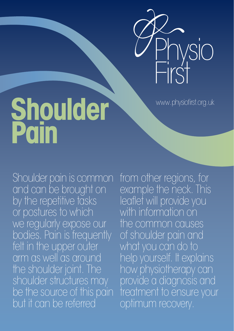

www.physiofirst.org.uk

# **Shoulder Pain**

Shoulder pain is common and can be brought on by the repetitive tasks or postures to which we regularly expose our bodies. Pain is frequently felt in the upper outer arm as well as around the shoulder joint. The shoulder structures may be the source of this pain but it can be referred

from other regions, for example the neck. This leaflet will provide you with information on the common causes of shoulder pain and what you can do to help yourself. It explains how physiotherapy can provide a diagnosis and treatment to ensure your optimum recovery.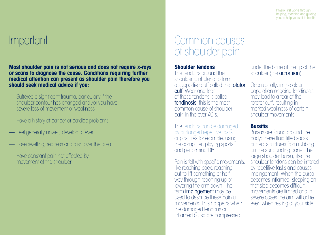Physio First works through helping, teaching and guiding you, to help yourself to health.

## Important

**Most shoulder pain is not serious and does not require x-rays or scans to diagnose the cause. Conditions requiring further medical attention can present as shoulder pain therefore you should seek medical advice if you:**

- Suffered a significant trauma, particularly if the shoulder contour has changed and /or you have severe loss of movement or weakness
- Have a history of cancer or cardiac problems
- Feel generally unwell, develop a fever
- Have swelling, redness or a rash over the area
- Have constant pain not affected by movement of the shoulder.

### Common causes of shoulder pain

#### **Shoulder tendons**

The tendons around the shoulder joint blend to form a supportive cuff called the **rotator** cuff. Wear and tear of these tendons is called tendinosis, this is the most common cause of shoulder pain in the over 40's.

The tendons can be damaged by prolonged repetitive tasks or postures for example, using the computer, playing sports and performing DIY.

Pain is felt with specific movements, like reaching back, reaching out to lift something or half way through reaching up or lowering the arm down. The term **impingement** may be used to describe these painful movements. This happens when the damaged tendons or inflamed bursa are compressed

under the bone at the tip of the shoulder (the **acromion**).

Occasionally, in the older population ongoing tendinosis may lead to a tear of the rotator cuff, resulting in marked weakness of certain shoulder movements.

#### **Bursitis**

Bursas are found around the body; these fluid filled sacks protect structures from rubbing on the surrounding bone. The large shoulder bursa, like the shoulder tendons can be irritated by repetitive tasks and causes impingement. When the bursa becomes inflamed, sleeping on that side becomes difficult, movements are limited and in severe cases the arm will ache even when resting at your side.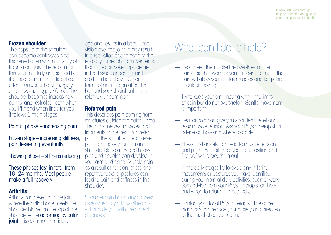#### **Frozen shoulder**

The capsule of the shoulder can become contracted and thickened often with no history of trauma or injury. The reason for this is still not fully understood but it is more common in diabetics, after shoulder or breast surgery and in women aged 40–60. The shoulder becomes increasingly painful and restricted, both when you lift it and when lifted for you. It follows 3 main stages:

#### Painful phase – increasing pain

Frozen stage – increasing stiffness, pain lessening eventually

Thawing phase – stiffness reducing

These phases last in total from 18–24 months. Most people make a full recovery.

#### **Arthritis**

Arthritis can develop in the joint where the collar bone meets the shoulder blade, on the top of the shoulder – the **acromioclavicular joint**. It is common in middle

age and results in a bony lump visible over the joint. It may result in a reduction of and ache at the end of your reaching movements. It can also provoke impingement in the tissues under the joint as described above. Other forms of arthritis can affect the ball and socket joint but this is relatively uncommon.

#### **Referred pain**

This describes pain coming from structures outside the painful area. The joints, nerves, muscles and ligaments in the neck can refer pain to the shoulder area. Nerve pain can make your arm and shoulder blade achy and heavy; pins and needles can develop in your arm and hand. Muscle pain as a result of tension, stress and repetitive tasks or postures can lead to pain and stiffness in the shoulder.

Shoulder pain has many causes; assessment by a Physiotherapist will provide you with the correct diagnosis.

## What can I do to help?

- If you need them, take the over-the-counter painkillers that work for you. Relieving some of the pain will allow you to relax muscles and keep the shoulder moving
- Try to keep your arm moving within the limits of pain but do not overstretch. Gentle movement is important
- Heat or cold can give you short term relief and relax muscle tension. Ask your Physiotherapist for advice on how and where to apply
- Stress and anxiety can lead to muscle tension and pain. Try to sit in a supported position and "let go" while breathing out
- In the early stages try to avoid any irritating movements or postures you have identified during your normal daily activities, sport or work. Seek advice from your Physiotherapist on how and when to return to these tasks
- Contact your local Physiotherapist. The correct diagnosis can reduce your anxiety and direct you to the most effective treatment.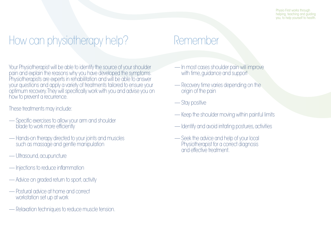## How can physiotherapy help?

Your Physiotherapist will be able to identify the source of your shoulder pain and explain the reasons why you have developed the symptoms. Physiotherapists are experts in rehabilitation and will be able to answer your questions and apply a variety of treatments tailored to ensure your optimum recovery. They will specifically work with you and advise you on how to prevent a recurrence.

These treatments may include:

- Specific exercises to allow your arm and shoulder blade to work more efficiently
- Hands-on therapy directed to your joints and muscles such as massage and gentle manipulation
- Ultrasound, acupuncture
- Injections to reduce inflammation
- Advice on graded return to sport, activity
- Postural advice at home and correct workstation set up at work
- Relaxation techniques to reduce muscle tension.

## Remember

- In most cases shoulder pain will improve with time, guidance and support
- Recovery time varies depending on the origin of the pain
- Stay positive
- Keep the shoulder moving within painful limits
- Identify and avoid irritating postures, activities
- Seek the advice and help of your local Physiotherapist for a correct diagnosis and effective treatment.